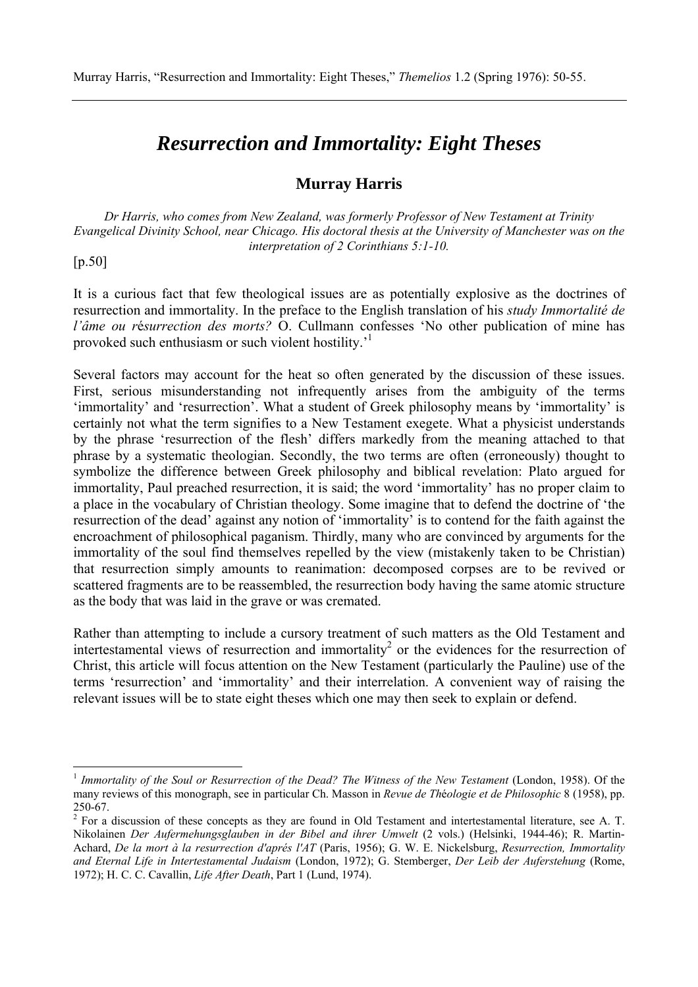# *Resurrection and Immortality: Eight Theses*

## **Murray Harris**

*Dr Harris, who comes from New Zealand, was formerly Professor of New Testament at Trinity Evangelical Divinity School, near Chicago. His doctoral thesis at the University of Manchester was on the interpretation of 2 Corinthians 5:1-10.*

[p.50]

 $\overline{a}$ 

It is a curious fact that few theological issues are as potentially explosive as the doctrines of resurrection and immortality. In the preface to the English translation of his *study Immortalité de l'âme ou r*é*surrection des morts?* O. Cullmann confesses 'No other publication of mine has provoked such enthusiasm or such violent hostility.'1

Several factors may account for the heat so often generated by the discussion of these issues. First, serious misunderstanding not infrequently arises from the ambiguity of the terms 'immortality' and 'resurrection'. What a student of Greek philosophy means by 'immortality' is certainly not what the term signifies to a New Testament exegete. What a physicist understands by the phrase 'resurrection of the flesh' differs markedly from the meaning attached to that phrase by a systematic theologian. Secondly, the two terms are often (erroneously) thought to symbolize the difference between Greek philosophy and biblical revelation: Plato argued for immortality, Paul preached resurrection, it is said; the word 'immortality' has no proper claim to a place in the vocabulary of Christian theology. Some imagine that to defend the doctrine of 'the resurrection of the dead' against any notion of 'immortality' is to contend for the faith against the encroachment of philosophical paganism. Thirdly, many who are convinced by arguments for the immortality of the soul find themselves repelled by the view (mistakenly taken to be Christian) that resurrection simply amounts to reanimation: decomposed corpses are to be revived or scattered fragments are to be reassembled, the resurrection body having the same atomic structure as the body that was laid in the grave or was cremated.

Rather than attempting to include a cursory treatment of such matters as the Old Testament and intertestamental views of resurrection and immortality<sup>2</sup> or the evidences for the resurrection of Christ, this article will focus attention on the New Testament (particularly the Pauline) use of the terms 'resurrection' and 'immortality' and their interrelation. A convenient way of raising the relevant issues will be to state eight theses which one may then seek to explain or defend.

<sup>&</sup>lt;sup>1</sup> Immortality of the Soul or Resurrection of the Dead? The Witness of the New Testament (London, 1958). Of the many reviews of this monograph, see in particular Ch. Masson in *Revue de Th*é*ologie et de Philosophic* 8 (1958), pp. 250-67.

 $2^2$  For a discussion of these concepts as they are found in Old Testament and intertestamental literature, see A. T. Nikolainen *Der Aufermehungsglauben in der Bibel and ihrer Umwelt* (2 vols.) (Helsinki, 1944-46); R. Martin-Achard, *De la mort à la resurrection d'aprés l'AT* (Paris, 1956); G. W. E. Nickelsburg, *Resurrection, Immortality and Eternal Life in Intertestamental Judaism* (London, 1972); G. Stemberger, *Der Leib der Auferstehung* (Rome, 1972); H. C. C. Cavallin, *Life After Death*, Part 1 (Lund, 1974).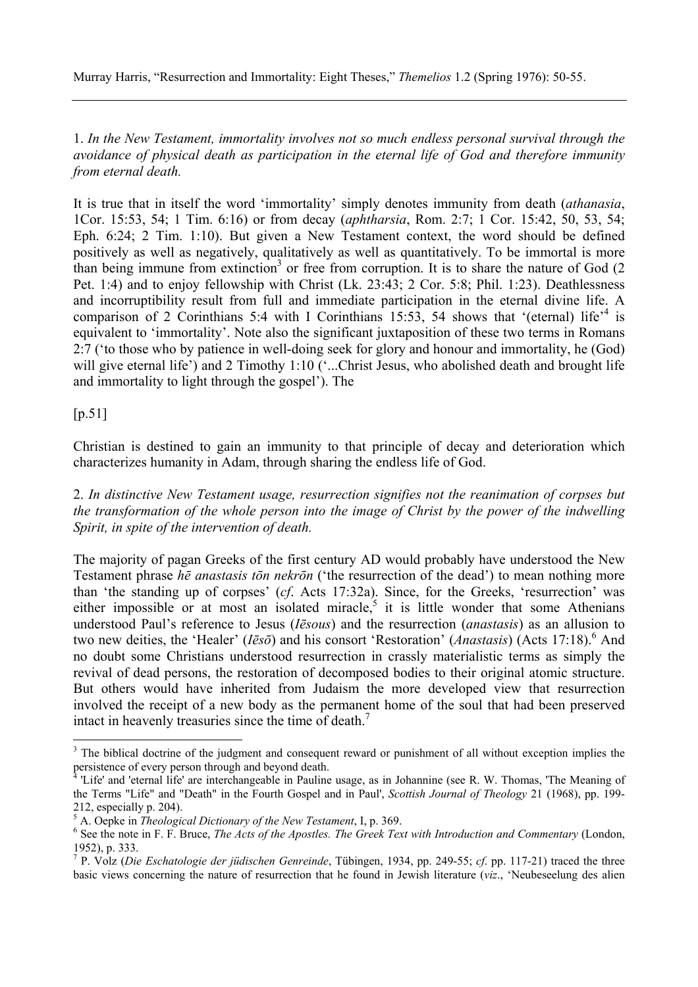Murray Harris, "Resurrection and Immortality: Eight Theses," *Themelios* 1.2 (Spring 1976): 50-55.

1. *In the New Testament, immortality involves not so much endless personal survival through the avoidance of physical death as participation in the eternal life of God and therefore immunity from eternal death.*

It is true that in itself the word 'immortality' simply denotes immunity from death (*athanasia*, 1Cor. 15:53, 54; 1 Tim. 6:16) or from decay (*aphtharsia*, Rom. 2:7; 1 Cor. 15:42, 50, 53, 54; Eph. 6:24; 2 Tim. 1:10). But given a New Testament context, the word should be defined positively as well as negatively, qualitatively as well as quantitatively. To be immortal is more than being immune from extinction<sup>3</sup> or free from corruption. It is to share the nature of God  $(2)$ Pet. 1:4) and to enjoy fellowship with Christ (Lk. 23:43; 2 Cor. 5:8; Phil. 1:23). Deathlessness and incorruptibility result from full and immediate participation in the eternal divine life. A comparison of 2 Corinthians 5:4 with I Corinthians 15:53, 54 shows that '(eternal) life<sup>-4</sup> is equivalent to 'immortality'. Note also the significant juxtaposition of these two terms in Romans 2:7 ('to those who by patience in well-doing seek for glory and honour and immortality, he (God) will give eternal life') and 2 Timothy 1:10 ('...Christ Jesus, who abolished death and brought life and immortality to light through the gospel'). The

[p.51]

Christian is destined to gain an immunity to that principle of decay and deterioration which characterizes humanity in Adam, through sharing the endless life of God.

2. *In distinctive New Testament usage, resurrection signifies not the reanimation of corpses but the transformation of the whole person into the image of Christ by the power of the indwelling Spirit, in spite of the intervention of death.*

The majority of pagan Greeks of the first century AD would probably have understood the New Testament phrase *hē anastasis tōn nekrōn* ('the resurrection of the dead') to mean nothing more than 'the standing up of corpses' (*cf*. Acts 17:32a). Since, for the Greeks, 'resurrection' was either impossible or at most an isolated miracle,<sup>5</sup> it is little wonder that some Athenians understood Paul's reference to Jesus (*Iēsous*) and the resurrection (*anastasis*) as an allusion to two new deities, the 'Healer' (*Iēsō*) and his consort 'Restoration' (*Anastasis*) (Acts 17:18).<sup>6</sup> And no doubt some Christians understood resurrection in crassly materialistic terms as simply the revival of dead persons, the restoration of decomposed bodies to their original atomic structure. But others would have inherited from Judaism the more developed view that resurrection involved the receipt of a new body as the permanent home of the soul that had been preserved intact in heavenly treasuries since the time of death.<sup>7</sup>

<sup>&</sup>lt;sup>3</sup> The biblical doctrine of the judgment and consequent reward or punishment of all without exception implies the persistence of every person through and beyond death.

<sup>4</sup> 'Life' and 'eternal life' are interchangeable in Pauline usage, as in Johannine (see R. W. Thomas, 'The Meaning of the Terms "Life" and "Death" in the Fourth Gospel and in Paul', *Scottish Journal of Theology* 21 (1968), pp. 199- 212, especially p. 204).

<sup>&</sup>lt;sup>5</sup> A. Oepke in *Theological Dictionary of the New Testament*, I, p. 369.

<sup>&</sup>lt;sup>6</sup> See the note in F. F. Bruce, *The Acts of the Apostles. The Greek Text with Introduction and Commentary (London,* 1952), p. 333.

<sup>7</sup> P. Volz (*Die Eschatologie der jüdischen Genreinde*, Tübingen, 1934, pp. 249-55; *cf*. pp. 117-21) traced the three basic views concerning the nature of resurrection that he found in Jewish literature (*viz*., 'Neubeseelung des alien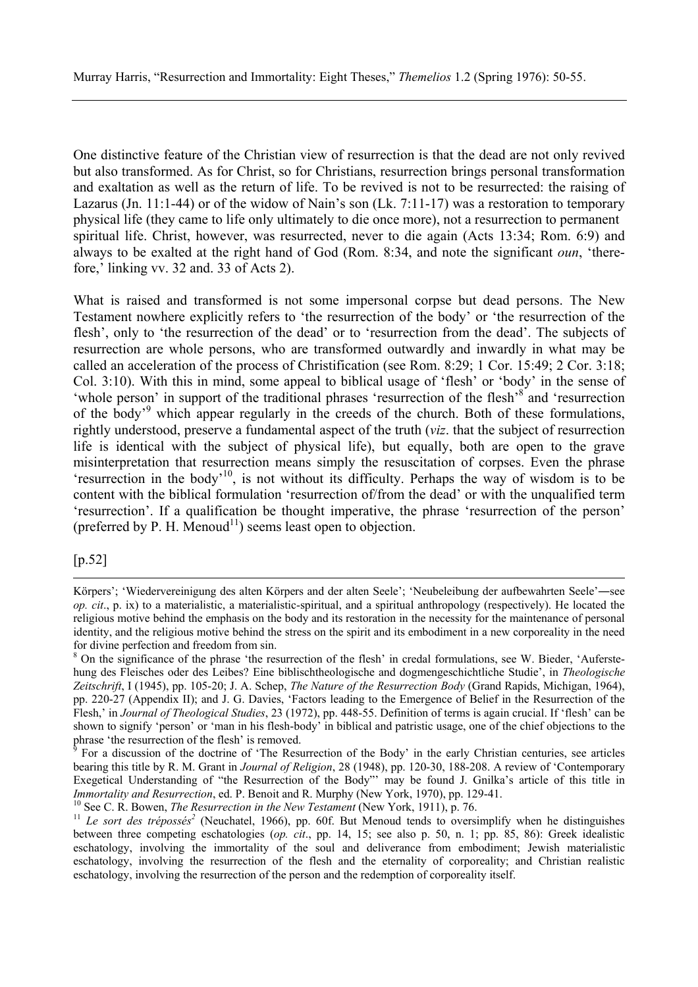One distinctive feature of the Christian view of resurrection is that the dead are not only revived but also transformed. As for Christ, so for Christians, resurrection brings personal transformation and exaltation as well as the return of life. To be revived is not to be resurrected: the raising of Lazarus (Jn. 11:1-44) or of the widow of Nain's son (Lk. 7:11-17) was a restoration to temporary physical life (they came to life only ultimately to die once more), not a resurrection to permanent spiritual life. Christ, however, was resurrected, never to die again (Acts 13:34; Rom. 6:9) and always to be exalted at the right hand of God (Rom. 8:34, and note the significant *oun*, 'therefore,' linking vv. 32 and. 33 of Acts 2).

What is raised and transformed is not some impersonal corpse but dead persons. The New Testament nowhere explicitly refers to 'the resurrection of the body' or 'the resurrection of the flesh', only to 'the resurrection of the dead' or to 'resurrection from the dead'. The subjects of resurrection are whole persons, who are transformed outwardly and inwardly in what may be called an acceleration of the process of Christification (see Rom. 8:29; 1 Cor. 15:49; 2 Cor. 3:18; Col. 3:10). With this in mind, some appeal to biblical usage of 'flesh' or 'body' in the sense of 'whole person' in support of the traditional phrases 'resurrection of the flesh'<sup>8'</sup> and 'resurrection of the body<sup>'9</sup> which appear regularly in the creeds of the church. Both of these formulations, rightly understood, preserve a fundamental aspect of the truth (*viz*. that the subject of resurrection life is identical with the subject of physical life), but equally, both are open to the grave misinterpretation that resurrection means simply the resuscitation of corpses. Even the phrase 'resurrection in the body'10, is not without its difficulty. Perhaps the way of wisdom is to be content with the biblical formulation 'resurrection of/from the dead' or with the unqualified term 'resurrection'. If a qualification be thought imperative, the phrase 'resurrection of the person' (preferred by P. H. Menoud<sup>11</sup>) seems least open to objection.

#### [p.52]

Körpers'; 'Wiedervereinigung des alten Körpers and der alten Seele'; 'Neubeleibung der aufbewahrten Seele'―see *op. cit*., p. ix) to a materialistic, a materialistic-spiritual, and a spiritual anthropology (respectively). He located the religious motive behind the emphasis on the body and its restoration in the necessity for the maintenance of personal identity, and the religious motive behind the stress on the spirit and its embodiment in a new corporeality in the need for divine perfection and freedom from sin.

<sup>&</sup>lt;sup>8</sup> On the significance of the phrase 'the resurrection of the flesh' in credal formulations, see W. Bieder, 'Auferstehung des Fleisches oder des Leibes? Eine biblischtheologische and dogmengeschichtliche Studie', in *Theologische Zeitschrift*, I (1945), pp. 105-20; J. A. Schep, *The Nature of the Resurrection Body* (Grand Rapids, Michigan, 1964), pp. 220-27 (Appendix II); and J. G. Davies, 'Factors leading to the Emergence of Belief in the Resurrection of the Flesh,' in *Journal of Theological Studies*, 23 (1972), pp. 448-55. Definition of terms is again crucial. If 'flesh' can be shown to signify 'person' or 'man in his flesh-body' in biblical and patristic usage, one of the chief objections to the phrase 'the resurrection of the flesh' is removed.

<sup>9</sup> For a discussion of the doctrine of 'The Resurrection of the Body' in the early Christian centuries, see articles bearing this title by R. M. Grant in *Journal of Religion*, 28 (1948), pp. 120-30, 188-208. A review of 'Contemporary Exegetical Understanding of "the Resurrection of the Body"' may be found J. Gnilka's article of this title in *Immortality and Resurrection*, ed. P. Benoit and R. Murphy (New York, 1970), pp. 129-41.<br><sup>10</sup> See C. R. Bowen, *The Resurrection in the New Testament* (New York, 1911), p. 76.<br><sup>11</sup> Le *sort des trépossés<sup>2</sup>* (Neuchatel, 1

between three competing eschatologies (*op. cit*., pp. 14, 15; see also p. 50, n. 1; pp. 85, 86): Greek idealistic eschatology, involving the immortality of the soul and deliverance from embodiment; Jewish materialistic eschatology, involving the resurrection of the flesh and the eternality of corporeality; and Christian realistic eschatology, involving the resurrection of the person and the redemption of corporeality itself.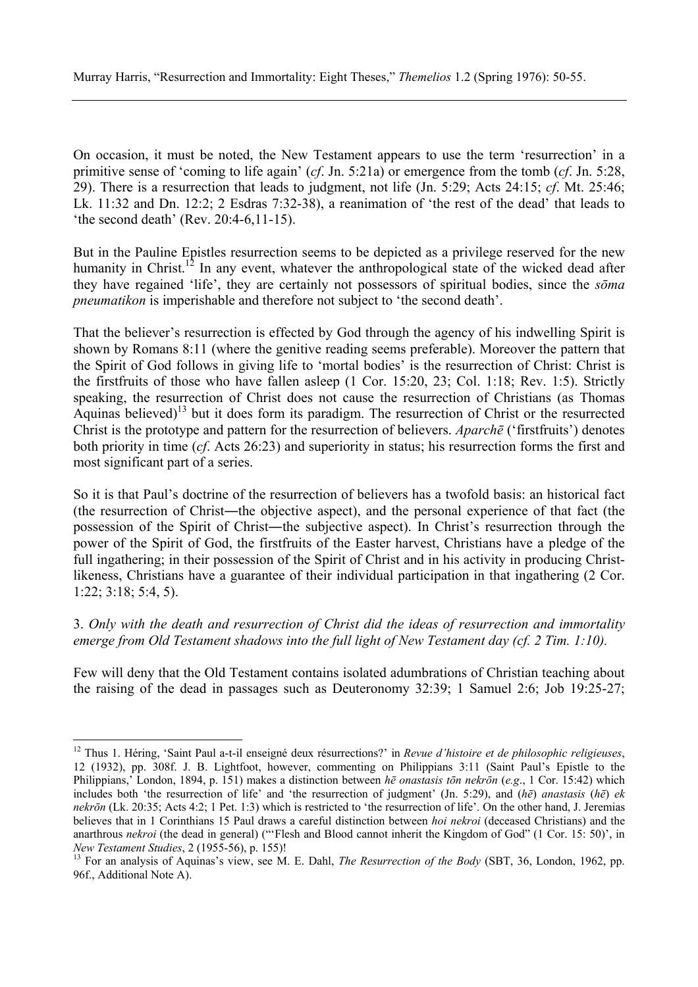On occasion, it must be noted, the New Testament appears to use the term 'resurrection' in a primitive sense of 'coming to life again' (*cf*. Jn. 5:21a) or emergence from the tomb (*cf*. Jn. 5:28, 29). There is a resurrection that leads to judgment, not life (Jn. 5:29; Acts 24:15; *cf*. Mt. 25:46; Lk. 11:32 and Dn. 12:2; 2 Esdras 7:32-38), a reanimation of 'the rest of the dead' that leads to 'the second death' (Rev. 20:4-6,11-15).

But in the Pauline Epistles resurrection seems to be depicted as a privilege reserved for the new humanity in Christ.<sup>12</sup> In any event, whatever the anthropological state of the wicked dead after they have regained 'life', they are certainly not possessors of spiritual bodies, since the *sōma pneumatikon* is imperishable and therefore not subject to 'the second death'.

That the believer's resurrection is effected by God through the agency of his indwelling Spirit is shown by Romans 8:11 (where the genitive reading seems preferable). Moreover the pattern that the Spirit of God follows in giving life to 'mortal bodies' is the resurrection of Christ: Christ is the firstfruits of those who have fallen asleep (1 Cor. 15:20, 23; Col. 1:18; Rev. 1:5). Strictly speaking, the resurrection of Christ does not cause the resurrection of Christians (as Thomas Aquinas believed)<sup>13</sup> but it does form its paradigm. The resurrection of Christ or the resurrected Christ is the prototype and pattern for the resurrection of believers. *Aparchē* ('firstfruits') denotes both priority in time (*cf*. Acts 26:23) and superiority in status; his resurrection forms the first and most significant part of a series.

So it is that Paul's doctrine of the resurrection of believers has a twofold basis: an historical fact (the resurrection of Christ―the objective aspect), and the personal experience of that fact (the possession of the Spirit of Christ―the subjective aspect). In Christ's resurrection through the power of the Spirit of God, the firstfruits of the Easter harvest, Christians have a pledge of the full ingathering; in their possession of the Spirit of Christ and in his activity in producing Christlikeness, Christians have a guarantee of their individual participation in that ingathering (2 Cor. 1:22; 3:18; 5:4, 5).

## 3. *Only with the death and resurrection of Christ did the ideas of resurrection and immortality emerge from Old Testament shadows into the full light of New Testament day (cf. 2 Tim. 1:10).*

Few will deny that the Old Testament contains isolated adumbrations of Christian teaching about the raising of the dead in passages such as Deuteronomy 32:39; 1 Samuel 2:6; Job 19:25-27;

 $\overline{a}$ 

<sup>12</sup> Thus 1. Héring, 'Saint Paul a-t-il enseigné deux résurrections?' in *Revue d'histoire et de philosophic religieuses*, 12 (1932), pp. 308f. J. B. Lightfoot, however, commenting on Philippians 3:11 (Saint Paul's Epistle to the Philippians,' London, 1894, p. 151) makes a distinction between *hē onastasis tōn nekrōn* (*e.g*., 1 Cor. 15:42) which includes both 'the resurrection of life' and 'the resurrection of judgment' (Jn. 5:29), and (*hē*) *anastasis* (*hē*) *ek nekrōn* (Lk. 20:35; Acts 4:2; 1 Pet. 1:3) which is restricted to 'the resurrection of life'. On the other hand, J. Jeremias believes that in 1 Corinthians 15 Paul draws a careful distinction between *hoi nekroi* (deceased Christians) and the anarthrous *nekroi* (the dead in general) ("'Flesh and Blood cannot inherit the Kingdom of God" (1 Cor. 15: 50)', in *New Testament Studies*, 2 (1955-56), p. 155)!

<sup>&</sup>lt;sup>13</sup> For an analysis of Aquinas's view, see M. E. Dahl, *The Resurrection of the Body* (SBT, 36, London, 1962, pp. 96f., Additional Note A).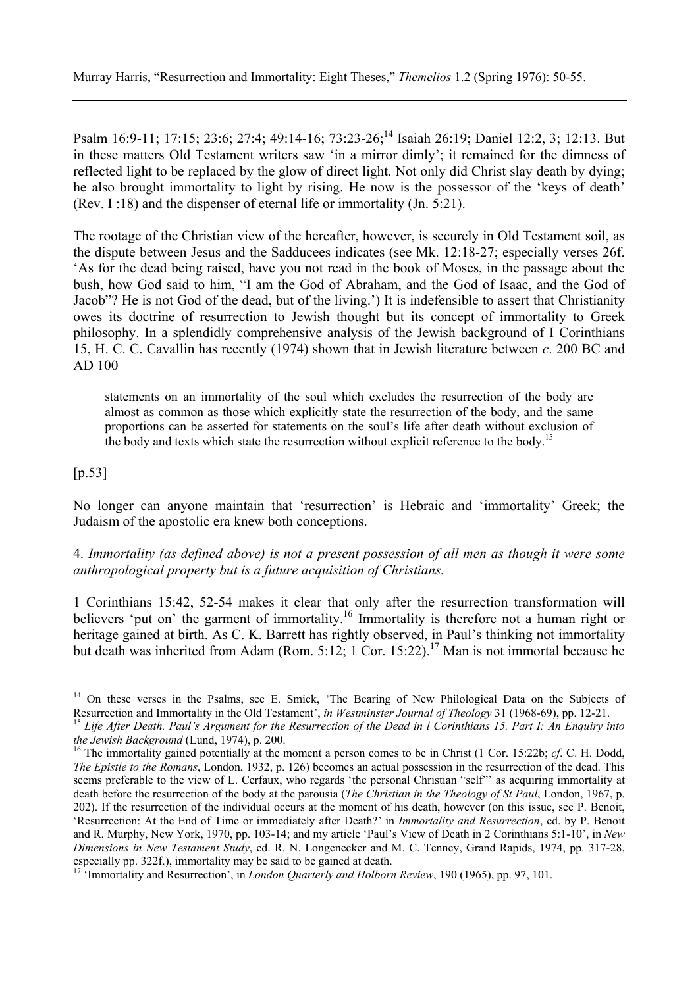Psalm 16:9-11; 17:15; 23:6; 27:4; 49:14-16; 73:23-26;14 Isaiah 26:19; Daniel 12:2, 3; 12:13. But in these matters Old Testament writers saw 'in a mirror dimly'; it remained for the dimness of reflected light to be replaced by the glow of direct light. Not only did Christ slay death by dying; he also brought immortality to light by rising. He now is the possessor of the 'keys of death' (Rev. I :18) and the dispenser of eternal life or immortality (Jn. 5:21).

The rootage of the Christian view of the hereafter, however, is securely in Old Testament soil, as the dispute between Jesus and the Sadducees indicates (see Mk. 12:18-27; especially verses 26f. 'As for the dead being raised, have you not read in the book of Moses, in the passage about the bush, how God said to him, "I am the God of Abraham, and the God of Isaac, and the God of Jacob"? He is not God of the dead, but of the living.') It is indefensible to assert that Christianity owes its doctrine of resurrection to Jewish thought but its concept of immortality to Greek philosophy. In a splendidly comprehensive analysis of the Jewish background of I Corinthians 15, H. C. C. Cavallin has recently (1974) shown that in Jewish literature between *c*. 200 BC and AD 100

statements on an immortality of the soul which excludes the resurrection of the body are almost as common as those which explicitly state the resurrection of the body, and the same proportions can be asserted for statements on the soul's life after death without exclusion of the body and texts which state the resurrection without explicit reference to the body.<sup>15</sup>

## [p.53]

 $\overline{a}$ 

No longer can anyone maintain that 'resurrection' is Hebraic and 'immortality' Greek; the Judaism of the apostolic era knew both conceptions.

4. *Immortality (as defined above) is not a present possession of all men as though it were some anthropological property but is a future acquisition of Christians.*

1 Corinthians 15:42, 52-54 makes it clear that only after the resurrection transformation will believers 'put on' the garment of immortality.<sup>16</sup> Immortality is therefore not a human right or heritage gained at birth. As C. K. Barrett has rightly observed, in Paul's thinking not immortality but death was inherited from Adam (Rom. 5:12; 1 Cor. 15:22).<sup>17</sup> Man is not immortal because he

<sup>&</sup>lt;sup>14</sup> On these verses in the Psalms, see E. Smick, 'The Bearing of New Philological Data on the Subjects of Resurrection and Immortality in the Old Testament<sup>'</sup>, in Westminster Journal of Theology 31 (1968-69), pp. 12-21.<br><sup>15</sup> Life After Death. Paul's Argument for the Resurrection of the Dead in l Corinthians 15. Part I: An Enqu

*the Jewish Background* (Lund, 1974), p. 200.<br><sup>16</sup> The immortality gained potentially at the moment a person comes to be in Christ (1 Cor. 15:22b; *cf.* C. H. Dodd,

*The Epistle to the Romans*, London, 1932, p. 126) becomes an actual possession in the resurrection of the dead. This seems preferable to the view of L. Cerfaux, who regards 'the personal Christian "self"' as acquiring immortality at death before the resurrection of the body at the parousia (*The Christian in the Theology of St Paul*, London, 1967, p. 202). If the resurrection of the individual occurs at the moment of his death, however (on this issue, see P. Benoit, 'Resurrection: At the End of Time or immediately after Death?' in *Immortality and Resurrection*, ed. by P. Benoit and R. Murphy, New York, 1970, pp. 103-14; and my article 'Paul's View of Death in 2 Corinthians 5:1-10', in *New Dimensions in New Testament Study*, ed. R. N. Longenecker and M. C. Tenney, Grand Rapids, 1974, pp. 317-28, especially pp. 322f.), immortality may be said to be gained at death.

<sup>&</sup>lt;sup>17</sup> 'Immortality and Resurrection', in *London Quarterly and Holborn Review*, 190 (1965), pp. 97, 101.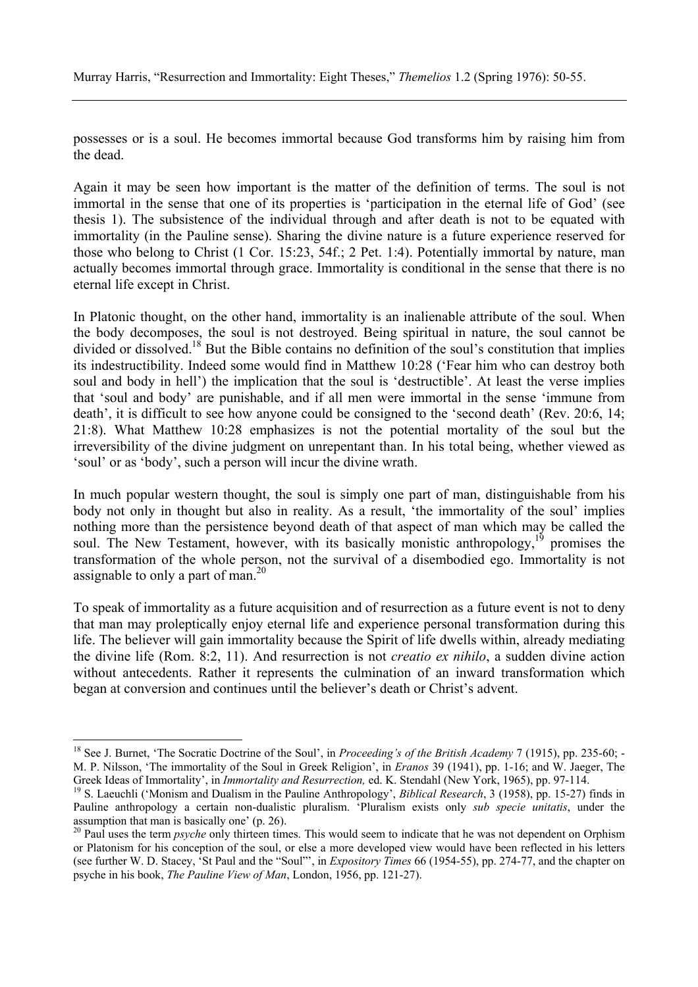possesses or is a soul. He becomes immortal because God transforms him by raising him from the dead.

Again it may be seen how important is the matter of the definition of terms. The soul is not immortal in the sense that one of its properties is 'participation in the eternal life of God' (see thesis 1). The subsistence of the individual through and after death is not to be equated with immortality (in the Pauline sense). Sharing the divine nature is a future experience reserved for those who belong to Christ (1 Cor. 15:23, 54f.; 2 Pet. 1:4). Potentially immortal by nature, man actually becomes immortal through grace. Immortality is conditional in the sense that there is no eternal life except in Christ.

In Platonic thought, on the other hand, immortality is an inalienable attribute of the soul. When the body decomposes, the soul is not destroyed. Being spiritual in nature, the soul cannot be divided or dissolved.<sup>18</sup> But the Bible contains no definition of the soul's constitution that implies its indestructibility. Indeed some would find in Matthew 10:28 ('Fear him who can destroy both soul and body in hell') the implication that the soul is 'destructible'. At least the verse implies that 'soul and body' are punishable, and if all men were immortal in the sense 'immune from death', it is difficult to see how anyone could be consigned to the 'second death' (Rev. 20:6, 14; 21:8). What Matthew 10:28 emphasizes is not the potential mortality of the soul but the irreversibility of the divine judgment on unrepentant than. In his total being, whether viewed as 'soul' or as 'body', such a person will incur the divine wrath.

In much popular western thought, the soul is simply one part of man, distinguishable from his body not only in thought but also in reality. As a result, 'the immortality of the soul' implies nothing more than the persistence beyond death of that aspect of man which may be called the soul. The New Testament, however, with its basically monistic anthropology,<sup>19</sup> promises the transformation of the whole person, not the survival of a disembodied ego. Immortality is not assignable to only a part of man.<sup>20</sup>

To speak of immortality as a future acquisition and of resurrection as a future event is not to deny that man may proleptically enjoy eternal life and experience personal transformation during this life. The believer will gain immortality because the Spirit of life dwells within, already mediating the divine life (Rom. 8:2, 11). And resurrection is not *creatio ex nihilo*, a sudden divine action without antecedents. Rather it represents the culmination of an inward transformation which began at conversion and continues until the believer's death or Christ's advent.

 $\overline{a}$ 

<sup>&</sup>lt;sup>18</sup> See J. Burnet, 'The Socratic Doctrine of the Soul', in *Proceeding's of the British Academy* 7 (1915), pp. 235-60; -M. P. Nilsson, 'The immortality of the Soul in Greek Religion', in *Eranos* 39 (1941), pp. 1-16; and W. Jaeger, The

Greek Ideas of Immortality', in *Immortality and Resurrection*, ed. K. Stendahl (New York, 1965), pp. 97-114.<br><sup>19</sup> S. Laeuchli ('Monism and Dualism in the Pauline Anthropology', *Biblical Research*, 3 (1958), pp. 15-27) fi Pauline anthropology a certain non-dualistic pluralism. 'Pluralism exists only *sub specie unitatis*, under the assumption that man is basically one' (p. 26).

<sup>&</sup>lt;sup>20</sup> Paul uses the term *psyche* only thirteen times. This would seem to indicate that he was not dependent on Orphism or Platonism for his conception of the soul, or else a more developed view would have been reflected in his letters (see further W. D. Stacey, 'St Paul and the "Soul"', in *Expository Times* 66 (1954-55), pp. 274-77, and the chapter on psyche in his book, *The Pauline View of Man*, London, 1956, pp. 121-27).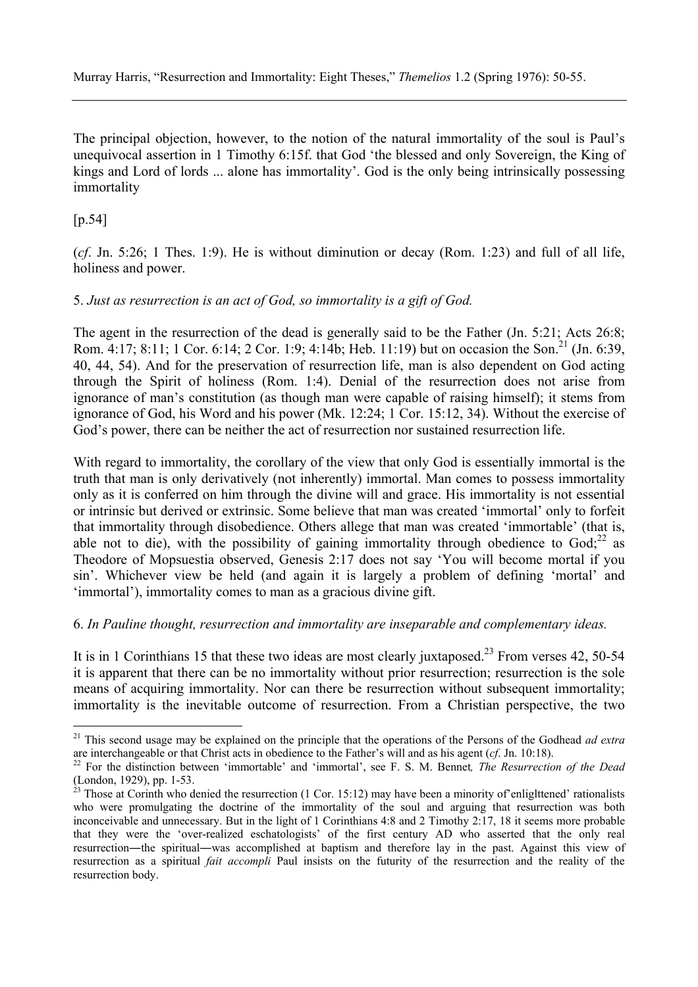The principal objection, however, to the notion of the natural immortality of the soul is Paul's unequivocal assertion in 1 Timothy 6:15f. that God 'the blessed and only Sovereign, the King of kings and Lord of lords ... alone has immortality'. God is the only being intrinsically possessing immortality

## [p.54]

 $\overline{a}$ 

(*cf*. Jn. 5:26; 1 Thes. 1:9). He is without diminution or decay (Rom. 1:23) and full of all life, holiness and power.

#### 5. *Just as resurrection is an act of God, so immortality is a gift of God.*

The agent in the resurrection of the dead is generally said to be the Father (Jn. 5:21; Acts 26:8; Rom. 4:17; 8:11; 1 Cor. 6:14; 2 Cor. 1:9; 4:14b; Heb. 11:19) but on occasion the Son.<sup>21</sup> (Jn. 6:39, 40, 44, 54). And for the preservation of resurrection life, man is also dependent on God acting through the Spirit of holiness (Rom. 1:4). Denial of the resurrection does not arise from ignorance of man's constitution (as though man were capable of raising himself); it stems from ignorance of God, his Word and his power (Mk. 12:24; 1 Cor. 15:12, 34). Without the exercise of God's power, there can be neither the act of resurrection nor sustained resurrection life.

With regard to immortality, the corollary of the view that only God is essentially immortal is the truth that man is only derivatively (not inherently) immortal. Man comes to possess immortality only as it is conferred on him through the divine will and grace. His immortality is not essential or intrinsic but derived or extrinsic. Some believe that man was created 'immortal' only to forfeit that immortality through disobedience. Others allege that man was created 'immortable' (that is, able not to die), with the possibility of gaining immortality through obedience to  $God;^{22}$  as Theodore of Mopsuestia observed, Genesis 2:17 does not say 'You will become mortal if you sin'. Whichever view be held (and again it is largely a problem of defining 'mortal' and 'immortal'), immortality comes to man as a gracious divine gift.

### 6. *In Pauline thought, resurrection and immortality are inseparable and complementary ideas.*

It is in 1 Corinthians 15 that these two ideas are most clearly juxtaposed.<sup>23</sup> From verses 42, 50-54 it is apparent that there can be no immortality without prior resurrection; resurrection is the sole means of acquiring immortality. Nor can there be resurrection without subsequent immortality; immortality is the inevitable outcome of resurrection. From a Christian perspective, the two

<sup>&</sup>lt;sup>21</sup> This second usage may be explained on the principle that the operations of the Persons of the Godhead *ad extra* are interchangeable or that Christ acts in obedience to the Father's will and as his agent (*cf.* Jn. 1

<sup>&</sup>lt;sup>22</sup> For the distinction between 'immortable' and 'immortal', see F. S. M. Bennet, The Resurrection of the Dead (London, 1929), pp. 1-53.

 $^{23}$  Those at Corinth who denied the resurrection (1 Cor. 15:12) may have been a minority of enlightened' rationalists who were promulgating the doctrine of the immortality of the soul and arguing that resurrection was both inconceivable and unnecessary. But in the light of 1 Corinthians 4:8 and 2 Timothy 2:17, 18 it seems more probable that they were the 'over-realized eschatologists' of the first century AD who asserted that the only real resurrection―the spiritual―was accomplished at baptism and therefore lay in the past. Against this view of resurrection as a spiritual *fait accompli* Paul insists on the futurity of the resurrection and the reality of the resurrection body.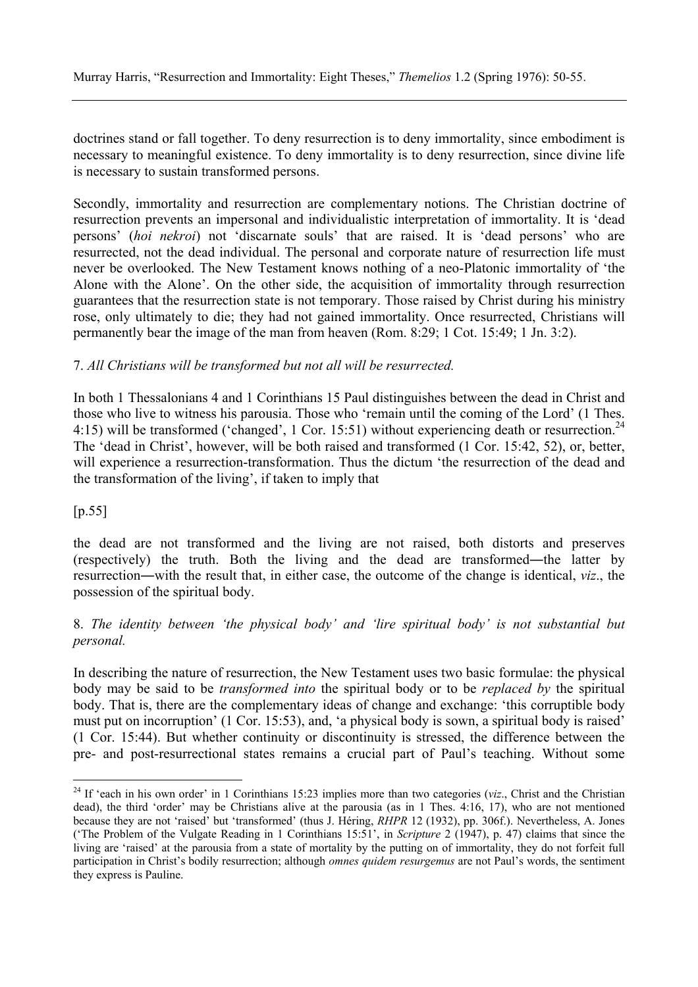Murray Harris, "Resurrection and Immortality: Eight Theses," *Themelios* 1.2 (Spring 1976): 50-55.

doctrines stand or fall together. To deny resurrection is to deny immortality, since embodiment is necessary to meaningful existence. To deny immortality is to deny resurrection, since divine life is necessary to sustain transformed persons.

Secondly, immortality and resurrection are complementary notions. The Christian doctrine of resurrection prevents an impersonal and individualistic interpretation of immortality. It is 'dead persons' (*hoi nekroi*) not 'discarnate souls' that are raised. It is 'dead persons' who are resurrected, not the dead individual. The personal and corporate nature of resurrection life must never be overlooked. The New Testament knows nothing of a neo-Platonic immortality of 'the Alone with the Alone'. On the other side, the acquisition of immortality through resurrection guarantees that the resurrection state is not temporary. Those raised by Christ during his ministry rose, only ultimately to die; they had not gained immortality. Once resurrected, Christians will permanently bear the image of the man from heaven (Rom. 8:29; 1 Cot. 15:49; 1 Jn. 3:2).

#### 7. *All Christians will be transformed but not all will be resurrected.*

In both 1 Thessalonians 4 and 1 Corinthians 15 Paul distinguishes between the dead in Christ and those who live to witness his parousia. Those who 'remain until the coming of the Lord' (1 Thes. 4:15) will be transformed ('changed', 1 Cor. 15:51) without experiencing death or resurrection.<sup>24</sup> The 'dead in Christ', however, will be both raised and transformed (1 Cor. 15:42, 52), or, better, will experience a resurrection-transformation. Thus the dictum 'the resurrection of the dead and the transformation of the living', if taken to imply that

 $[p.55]$ 

 $\overline{a}$ 

the dead are not transformed and the living are not raised, both distorts and preserves (respectively) the truth. Both the living and the dead are transformed―the latter by resurrection―with the result that, in either case, the outcome of the change is identical, *viz*., the possession of the spiritual body.

## 8. *The identity between 'the physical body' and 'lire spiritual body' is not substantial but personal.*

In describing the nature of resurrection, the New Testament uses two basic formulae: the physical body may be said to be *transformed into* the spiritual body or to be *replaced by* the spiritual body. That is, there are the complementary ideas of change and exchange: 'this corruptible body must put on incorruption' (1 Cor. 15:53), and, 'a physical body is sown, a spiritual body is raised' (1 Cor. 15:44). But whether continuity or discontinuity is stressed, the difference between the pre- and post-resurrectional states remains a crucial part of Paul's teaching. Without some

<sup>&</sup>lt;sup>24</sup> If 'each in his own order' in 1 Corinthians 15:23 implies more than two categories (*viz*., Christ and the Christian dead), the third 'order' may be Christians alive at the parousia (as in 1 Thes. 4:16, 17), who are not mentioned because they are not 'raised' but 'transformed' (thus J. Héring, *RHPR* 12 (1932), pp. 306f.). Nevertheless, A. Jones ('The Problem of the Vulgate Reading in 1 Corinthians 15:51', in *Scripture* 2 (1947), p. 47) claims that since the living are 'raised' at the parousia from a state of mortality by the putting on of immortality, they do not forfeit full participation in Christ's bodily resurrection; although *omnes quidem resurgemus* are not Paul's words, the sentiment they express is Pauline.